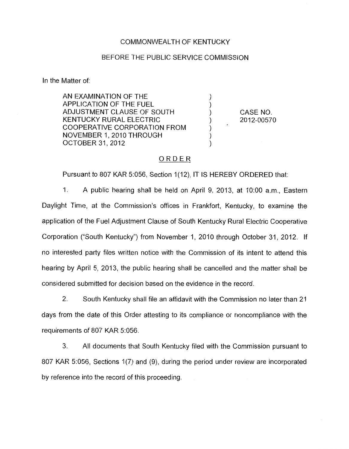### COMMONWEALTH OF KENTUCKY

#### BEFORE THE PUBLIC SERVICE COMMISSION

In the Matter of:

AN EXAMINATION OF THE 1 APPLICATION OF THE FUEL ) ADJUSTMENT CLAUSE OF SOUTH  $\left( \begin{array}{ccc} \bullet & \bullet & \bullet \\ \bullet & \bullet & \bullet \end{array} \right)$ KENTUCKY RURAL ELECTRIC )< COOPERATIVE CORPORATION FROM ) NOVEMBER 1, 2010 THROUGH OCTOBER 31,2012 )

CASE NO. 2012-00570

## ORDER

Pursuant to 807 KAR 5:056, Section 1(12), IT IS HEREBY ORDERED that:

1. A public hearing shall be held on April 9, 2013, at 1O:OO a.m., Eastern Daylight Time, at the Commission's offices in Frankfort, Kentucky, to examine the application of the Fuel Adjustment Clause of South Kentucky Rural Electric Cooperative Corporation ("South Kentucky") from November 1, 2010 through October 31, 2012. If no interested party files written notice with the Commission of its intent to attend this hearing by April 5, 2013, the public hearing shall be cancelled and the matter shall be considered submitted for decision based on the evidence in the record.

2. South Kentucky shall file an affidavit with the Commission no later than 21 days from the date of this Order attesting to its compliance or noncompliance with the requirements of *807* KAR 5:056.

**3.** All documents that South Kentucky filed with the Commission pursuant to 807 KAR 5:056, Sections 1(7) and (9), during the period under review are incorporated by reference into the record of this proceeding.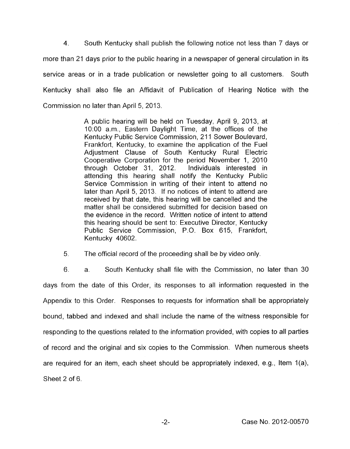**4.** South Kentucky shall publish the following notice not less than 7 days or more than 21 days prior to the public hearing in a newspaper of general circulation in its service areas or in a trade publication or newsletter going to all customers. South Kentucky shall also file an Affidavit of Publication of Hearing Notice with the Commission no later than April 5, 2013.

> A public hearing will be held on Tuesday, April 9, 2013, at 1O:OO a.m., Eastern Daylight Time, at the offices of the Kentucky Public Service Commission, 211 Sower Boulevard, Frankfort, Kentucky, to examine the application of the Fuel Adjustment Clause of South Kentucky Rural Electric Cooperative Corporation for the period November 1, 2010 through October 31, 2012. Individuals interested in attending this hearing shall notify the Kentucky Public Service Commission in writing of their intent to attend no later than April 5, 2013. If no notices of intent to attend are received by that date, this hearing will be cancelled and the matter shall be considered submitted for decision based on the evidence in the record. Written notice of intent to attend this hearing should be sent to: Executive Director, Kentucky Public Service Commission, P.O. Box 615, Frankfort, Kentucky 40602.

*5.* The official record of the proceeding shall be by video only.

6. a. South Kentucky shall file with the Commission, no later than 30 days from the date of this Order, its responses to all information requested in the Appendix to this Order. Responses to requests for information shall be appropriately bound, tabbed and indexed and shall include the name of the witness responsible for responding to the questions related to the information provided, with copies to all parties of record and the original and six copies to the Commission. When numerous sheets are required for an item, each sheet should be appropriately indexed, e.g., Item  $1(a)$ , Sheet 2 of 6.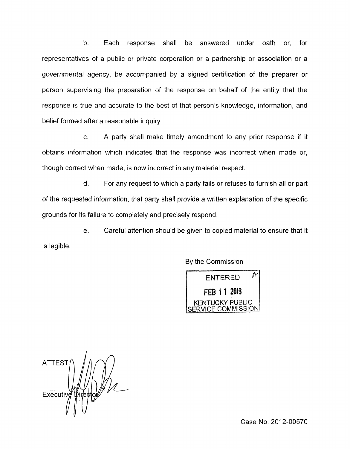b. Each response shall be answered under oath or, for representatives of a public or private corporation or a partnership or association or a governmental agency, be accompanied by a signed certification of the preparer or person supervising the preparation of the response on behalf of the entity that the response is true and accurate to the best of that person's knowledge, information, and belief formed after a reasonable inquiry.

c. A party shall make timely amendment to any prior response if it obtains information which indicates that the response was incorrect when made or, though correct when made, is now incorrect in any material respect

d. For any request to which a party fails or refuses to furnish all or part of the requested information, that party shall provide a written explanation of the specific grounds for its failure to completely and precisely respond.

e. Careful attention should be given to copied material to ensure that it is legible.

By the Commission

ENTERED<sup>#</sup> **FFR 11 2013** KENTUCKY PUBLIC<br>FRVICE COMMISSION

**ATTEST** Executive

Case No. 2012-00570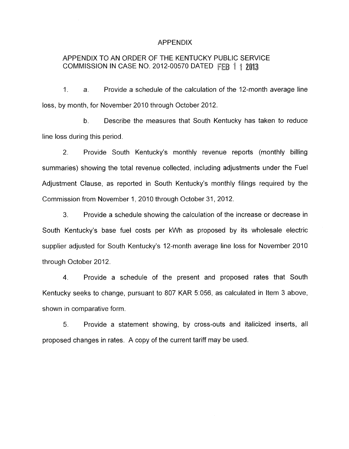### APPENDIX

# APPENDIX TO AN ORDER OF THE KENTUCKY PUBLIC SERVICE COMMISSION IN CASE NO. 2012-00570 DATED FEB 1 1 2013

1. a. Provide a schedule of the calculation of the 12-month average line loss, by month, for November 2010 through October 2012.

b. Describe the measures that South Kentucky has taken to reduce line loss during this period.

2. Provide South Kentucky's monthly revenue reports (monthly billing summaries) showing the total revenue collected, including adjustments under the Fuel Adjustment Clause, as reported in South Kentucky's monthly filings required by the Commission from November 1, 2010 through October 31, 2012.

**3.** Provide a schedule showing the calculation of the increase or decrease in South Kentucky's base fuel costs per kWh as proposed by its wholesale electric supplier adjusted for South Kentucky's 12-month average line loss for November 2010 through October 2012.

**4.** Provide a schedule of the present and proposed rates that South Kentucky seeks to change, pursuant to 807 KAR 5:056, as calculated in Item 3 above, shown in comparative form.

*5.* Provide a statement showing, by cross-outs and italicized inserts, all proposed changes in rates. A copy of the current tariff may be used.